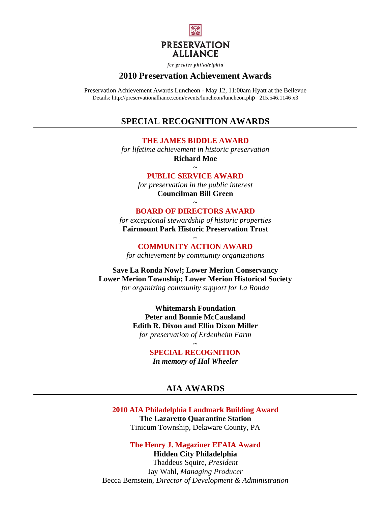

for greater philadelphia

### **2010 Preservation Achievement Awards**

Preservation Achievement Awards Luncheon - May 12, 11:00am Hyatt at the Bellevue Details: http://preservationalliance.com/events/luncheon/luncheon.php 215.546.1146 x3

# **SPECIAL RECOGNITION AWARDS**

**THE JAMES BIDDLE AWARD** 

*for lifetime achievement in historic preservation*  **Richard Moe** 

> $\sim$ **PUBLIC SERVICE AWARD**

*for preservation in the public interest*  **Councilman Bill Green**   $\sim$ 

### **BOARD OF DIRECTORS AWARD**

*for exceptional stewardship of historic properties*  **Fairmount Park Historic Preservation Trust** 

> $\sim$ **COMMUNITY ACTION AWARD**

*for achievement by community organizations*

**Save La Ronda Now!; Lower Merion Conservancy Lower Merion Township; Lower Merion Historical Society**  *for organizing community support for La Ronda* 

> **Whitemarsh Foundation Peter and Bonnie McCausland Edith R. Dixon and Ellin Dixon Miller**  *for preservation of Erdenheim Farm*

> > **SPECIAL RECOGNITION**  *In memory of Hal Wheeler*

**~** 

# **AIA AWARDS**

**2010 AIA Philadelphia Landmark Building Award The Lazaretto Quarantine Station**  Tinicum Township, Delaware County, PA

**The Henry J. Magaziner EFAIA Award Hidden City Philadelphia**  Thaddeus Squire, *President* 

Jay Wahl, *Managing Producer*  Becca Bernstein, *Director of Development & Administration*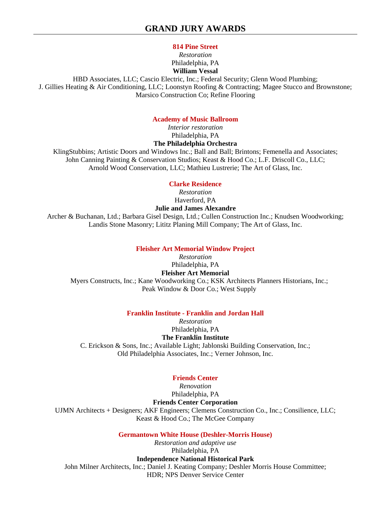### **814 Pine Street**

#### *Restoration*  Philadelphia, PA **William Vessal**

HBD Associates, LLC; Cascio Electric, Inc.; Federal Security; Glenn Wood Plumbing; J. Gillies Heating & Air Conditioning, LLC; Loonstyn Roofing & Contracting; Magee Stucco and Brownstone; Marsico Construction Co; Refine Flooring

## **Academy of Music Ballroom**

*Interior restoration*  Philadelphia, PA **The Philadelphia Orchestra** 

KlingStubbins; Artistic Doors and Windows Inc.; Ball and Ball; Brintons; Femenella and Associates; John Canning Painting & Conservation Studios; Keast & Hood Co.; L.F. Driscoll Co., LLC; Arnold Wood Conservation, LLC; Mathieu Lustrerie; The Art of Glass, Inc.

### **Clarke Residence**

*Restoration*  Haverford, PA

### **Julie and James Alexandre**

Archer & Buchanan, Ltd.; Barbara Gisel Design, Ltd.; Cullen Construction Inc.; Knudsen Woodworking; Landis Stone Masonry; Lititz Planing Mill Company; The Art of Glass, Inc.

### **Fleisher Art Memorial Window Project**

*Restoration*  Philadelphia, PA **Fleisher Art Memorial**  Myers Constructs, Inc.; Kane Woodworking Co.; KSK Architects Planners Historians, Inc.; Peak Window & Door Co.; West Supply

### **Franklin Institute - Franklin and Jordan Hall**

*Restoration*  Philadelphia, PA **The Franklin Institute**  C. Erickson & Sons, Inc.; Available Light; Jablonski Building Conservation, Inc.; Old Philadelphia Associates, Inc.; Verner Johnson, Inc.

## **Friends Center**

*Renovation*  Philadelphia, PA **Friends Center Corporation**  UJMN Architects + Designers; AKF Engineers; Clemens Construction Co., Inc.; Consilience, LLC; Keast & Hood Co.; The McGee Company

**Germantown White House (Deshler-Morris House)**

*Restoration and adaptive use*  Philadelphia, PA **Independence National Historical Park**  John Milner Architects, Inc.; Daniel J. Keating Company; Deshler Morris House Committee; HDR; NPS Denver Service Center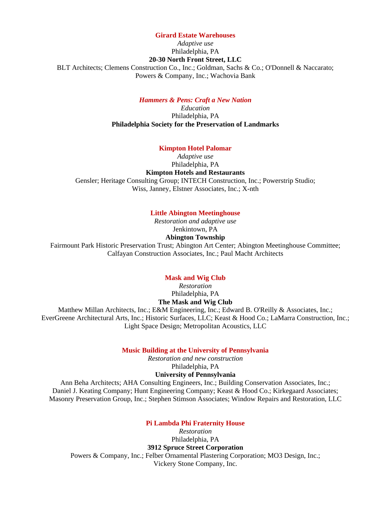#### **Girard Estate Warehouses**

*Adaptive use* 

#### Philadelphia, PA **20-30 North Front Street, LLC**

BLT Architects; Clemens Construction Co., Inc.; Goldman, Sachs & Co.; O'Donnell & Naccarato; Powers & Company, Inc.; Wachovia Bank

#### *Hammers & Pens: Craft a New Nation*

*Education*  Philadelphia, PA **Philadelphia Society for the Preservation of Landmarks** 

#### **Kimpton Hotel Palomar**

*Adaptive use*  Philadelphia, PA **Kimpton Hotels and Restaurants**  Gensler; Heritage Consulting Group; INTECH Construction, Inc.; Powerstrip Studio; Wiss, Janney, Elstner Associates, Inc.; X-nth

#### **Little Abington Meetinghouse**

*Restoration and adaptive use*  Jenkintown, PA **Abington Township** 

Fairmount Park Historic Preservation Trust; Abington Art Center; Abington Meetinghouse Committee; Calfayan Construction Associates, Inc.; Paul Macht Architects

### **Mask and Wig Club**

*Restoration*  Philadelphia, PA **The Mask and Wig Club** 

Matthew Millan Architects, Inc.; E&M Engineering, Inc.; Edward B. O'Reilly & Associates, Inc.; EverGreene Architectural Arts, Inc.; Historic Surfaces, LLC; Keast & Hood Co.; LaMarra Construction, Inc.; Light Space Design; Metropolitan Acoustics, LLC

**Music Building at the University of Pennsylvania**

*Restoration and new construction*  Philadelphia, PA

**University of Pennsylvania** 

Ann Beha Architects; AHA Consulting Engineers, Inc.; Building Conservation Associates, Inc.; Daniel J. Keating Company; Hunt Engineering Company; Keast & Hood Co.; Kirkegaard Associates; Masonry Preservation Group, Inc.; Stephen Stimson Associates; Window Repairs and Restoration, LLC

**Pi Lambda Phi Fraternity House**

*Restoration*  Philadelphia, PA **3912 Spruce Street Corporation**  Powers & Company, Inc.; Felber Ornamental Plastering Corporation; MO3 Design, Inc.; Vickery Stone Company, Inc.